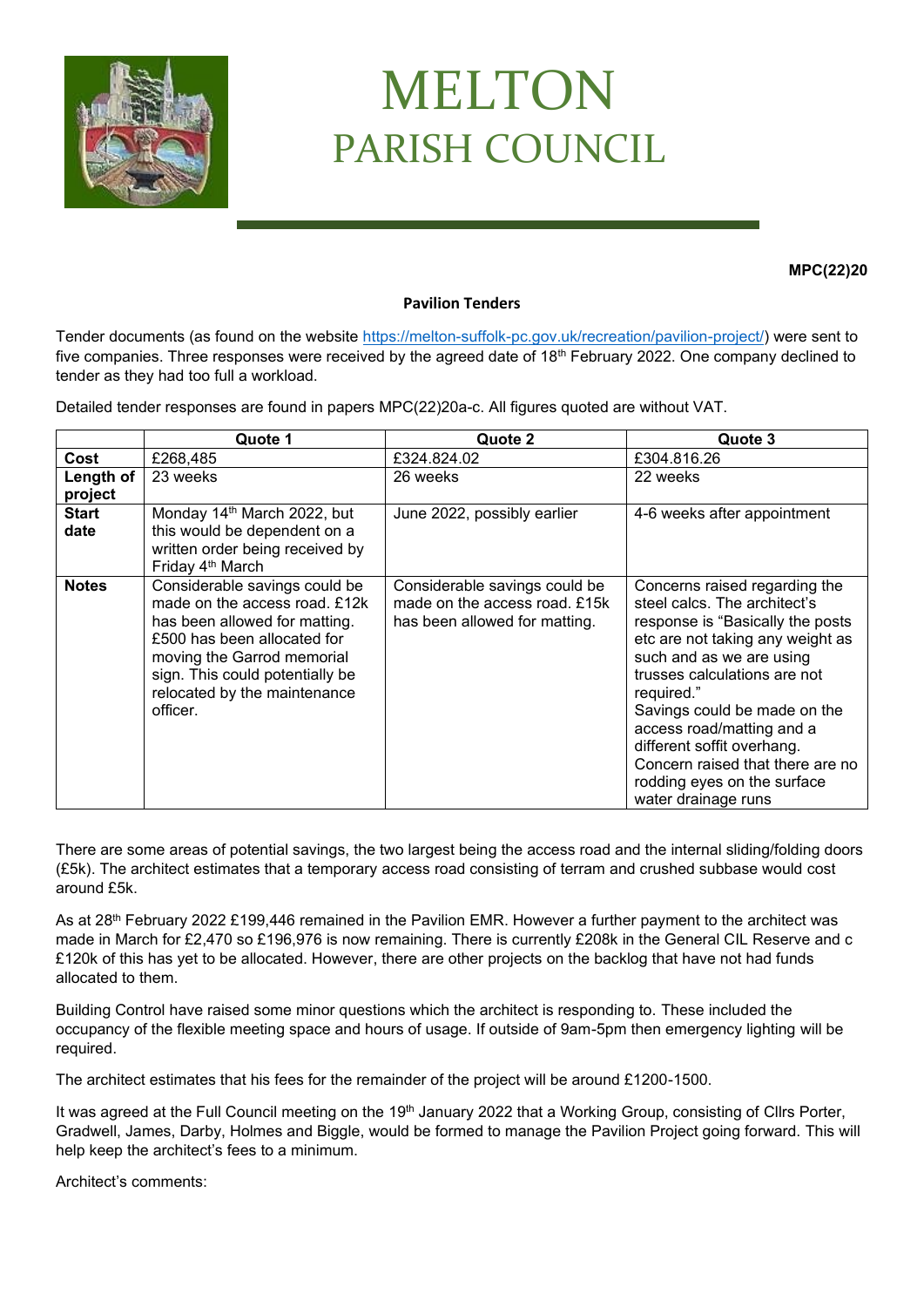

## MELTON PARISH COUNCIL

**MPC(22)20**

## **Pavilion Tenders**

Tender documents (as found on the website [https://melton-suffolk-pc.gov.uk/recreation/pavilion-project/\)](https://melton-suffolk-pc.gov.uk/recreation/pavilion-project/) were sent to five companies. Three responses were received by the agreed date of 18<sup>th</sup> February 2022. One company declined to tender as they had too full a workload.

Detailed tender responses are found in papers MPC(22)20a-c. All figures quoted are without VAT.

|                      | Quote 1                                                                                                                                                                                                                                     | Quote 2                                                                                         | Quote 3                                                                                                                                                                                                                                                                                                                                                                                              |
|----------------------|---------------------------------------------------------------------------------------------------------------------------------------------------------------------------------------------------------------------------------------------|-------------------------------------------------------------------------------------------------|------------------------------------------------------------------------------------------------------------------------------------------------------------------------------------------------------------------------------------------------------------------------------------------------------------------------------------------------------------------------------------------------------|
| Cost                 | £268,485                                                                                                                                                                                                                                    | £324.824.02                                                                                     | £304.816.26                                                                                                                                                                                                                                                                                                                                                                                          |
| Length of<br>project | 23 weeks                                                                                                                                                                                                                                    | 26 weeks                                                                                        | 22 weeks                                                                                                                                                                                                                                                                                                                                                                                             |
| <b>Start</b><br>date | Monday 14 <sup>th</sup> March 2022, but<br>this would be dependent on a<br>written order being received by<br>Friday 4 <sup>th</sup> March                                                                                                  | June 2022, possibly earlier                                                                     | 4-6 weeks after appointment                                                                                                                                                                                                                                                                                                                                                                          |
| <b>Notes</b>         | Considerable savings could be<br>made on the access road, £12k<br>has been allowed for matting.<br>£500 has been allocated for<br>moving the Garrod memorial<br>sign. This could potentially be<br>relocated by the maintenance<br>officer. | Considerable savings could be<br>made on the access road. £15k<br>has been allowed for matting. | Concerns raised regarding the<br>steel calcs. The architect's<br>response is "Basically the posts<br>etc are not taking any weight as<br>such and as we are using<br>trusses calculations are not<br>required."<br>Savings could be made on the<br>access road/matting and a<br>different soffit overhang.<br>Concern raised that there are no<br>rodding eyes on the surface<br>water drainage runs |

There are some areas of potential savings, the two largest being the access road and the internal sliding/folding doors (£5k). The architect estimates that a temporary access road consisting of terram and crushed subbase would cost around £5k.

As at 28<sup>th</sup> February 2022 £199,446 remained in the Pavilion EMR. However a further payment to the architect was made in March for £2,470 so £196,976 is now remaining. There is currently £208k in the General CIL Reserve and c £120k of this has yet to be allocated. However, there are other projects on the backlog that have not had funds allocated to them.

Building Control have raised some minor questions which the architect is responding to. These included the occupancy of the flexible meeting space and hours of usage. If outside of 9am-5pm then emergency lighting will be required.

The architect estimates that his fees for the remainder of the project will be around £1200-1500.

It was agreed at the Full Council meeting on the 19<sup>th</sup> January 2022 that a Working Group, consisting of Cllrs Porter, Gradwell, James, Darby, Holmes and Biggle, would be formed to manage the Pavilion Project going forward. This will help keep the architect's fees to a minimum.

Architect's comments: